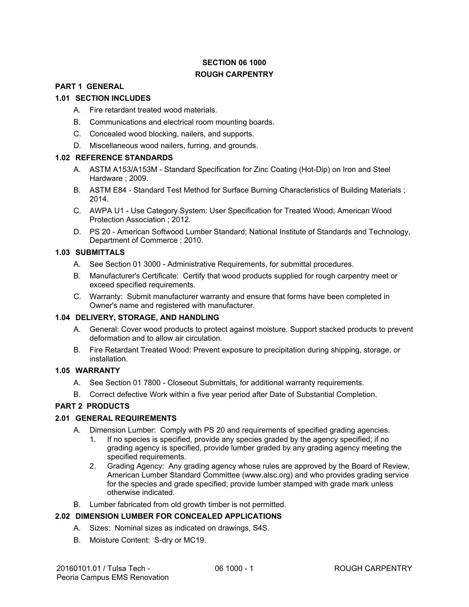# **SECTION 06 1000 ROUGH CARPENTRY**

#### **PART 1 GENERAL**

#### **1.01 SECTION INCLUDES**

- A. Fire retardant treated wood materials.
- B. Communications and electrical room mounting boards.
- C. Concealed wood blocking, nailers, and supports.
- D. Miscellaneous wood nailers, furring, and grounds.

#### **1.02 REFERENCE STANDARDS**

- A. ASTM A153/A153M Standard Specification for Zinc Coating (Hot-Dip) on Iron and Steel Hardware ; 2009.
- B. ASTM E84 Standard Test Method for Surface Burning Characteristics of Building Materials ; 2014.
- C. AWPA U1 Use Category System: User Specification for Treated Wood; American Wood Protection Association ; 2012.
- D. PS 20 American Softwood Lumber Standard; National Institute of Standards and Technology, Department of Commerce ; 2010.

#### **1.03 SUBMITTALS**

- A. See Section 01 3000 Administrative Requirements, for submittal procedures.
- B. Manufacturer's Certificate: Certify that wood products supplied for rough carpentry meet or exceed specified requirements.
- C. Warranty: Submit manufacturer warranty and ensure that forms have been completed in Owner's name and registered with manufacturer.

#### **1.04 DELIVERY, STORAGE, AND HANDLING**

- A. General: Cover wood products to protect against moisture. Support stacked products to prevent deformation and to allow air circulation.
- B. Fire Retardant Treated Wood: Prevent exposure to precipitation during shipping, storage, or installation.

## **1.05 WARRANTY**

- A. See Section 01 7800 Closeout Submittals, for additional warranty requirements.
- B. Correct defective Work within a five year period after Date of Substantial Completion.

#### **PART 2 PRODUCTS**

#### **2.01 GENERAL REQUIREMENTS**

- A. Dimension Lumber: Comply with PS 20 and requirements of specified grading agencies.
	- 1. If no species is specified, provide any species graded by the agency specified; if no grading agency is specified, provide lumber graded by any grading agency meeting the specified requirements.
	- 2. Grading Agency: Any grading agency whose rules are approved by the Board of Review, American Lumber Standard Committee (www.alsc.org) and who provides grading service for the species and grade specified; provide lumber stamped with grade mark unless otherwise indicated.
- B. Lumber fabricated from old growth timber is not permitted.

#### **2.02 DIMENSION LUMBER FOR CONCEALED APPLICATIONS**

- A. Sizes: Nominal sizes as indicated on drawings, S4S.
- B. Moisture Content: S-dry or MC19.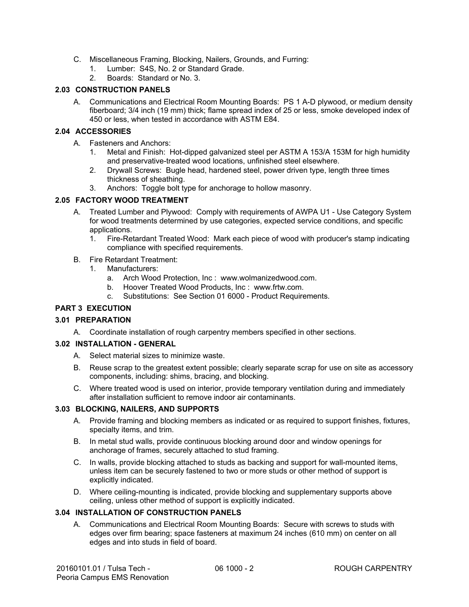- C. Miscellaneous Framing, Blocking, Nailers, Grounds, and Furring:
	- 1. Lumber: S4S, No. 2 or Standard Grade.
	- 2. Boards: Standard or No. 3.

## **2.03 CONSTRUCTION PANELS**

A. Communications and Electrical Room Mounting Boards: PS 1 A-D plywood, or medium density fiberboard; 3/4 inch (19 mm) thick; flame spread index of 25 or less, smoke developed index of 450 or less, when tested in accordance with ASTM E84.

#### **2.04 ACCESSORIES**

- A. Fasteners and Anchors:
	- 1. Metal and Finish: Hot-dipped galvanized steel per ASTM A 153/A 153M for high humidity and preservative-treated wood locations, unfinished steel elsewhere.
	- 2. Drywall Screws: Bugle head, hardened steel, power driven type, length three times thickness of sheathing.
	- 3. Anchors: Toggle bolt type for anchorage to hollow masonry.

#### **2.05 FACTORY WOOD TREATMENT**

- A. Treated Lumber and Plywood: Comply with requirements of AWPA U1 Use Category System for wood treatments determined by use categories, expected service conditions, and specific applications.
	- 1. Fire-Retardant Treated Wood: Mark each piece of wood with producer's stamp indicating compliance with specified requirements.
- B. Fire Retardant Treatment:
	- 1. Manufacturers:
		- a. Arch Wood Protection, Inc : www.wolmanizedwood.com.
		- b. Hoover Treated Wood Products, Inc : www.frtw.com.
		- c. Substitutions: See Section 01 6000 Product Requirements.

## **PART 3 EXECUTION**

#### **3.01 PREPARATION**

A. Coordinate installation of rough carpentry members specified in other sections.

#### **3.02 INSTALLATION - GENERAL**

- A. Select material sizes to minimize waste.
- B. Reuse scrap to the greatest extent possible; clearly separate scrap for use on site as accessory components, including: shims, bracing, and blocking.
- C. Where treated wood is used on interior, provide temporary ventilation during and immediately after installation sufficient to remove indoor air contaminants.

#### **3.03 BLOCKING, NAILERS, AND SUPPORTS**

- A. Provide framing and blocking members as indicated or as required to support finishes, fixtures, specialty items, and trim.
- B. In metal stud walls, provide continuous blocking around door and window openings for anchorage of frames, securely attached to stud framing.
- C. In walls, provide blocking attached to studs as backing and support for wall-mounted items, unless item can be securely fastened to two or more studs or other method of support is explicitly indicated.
- D. Where ceiling-mounting is indicated, provide blocking and supplementary supports above ceiling, unless other method of support is explicitly indicated.

## **3.04 INSTALLATION OF CONSTRUCTION PANELS**

A. Communications and Electrical Room Mounting Boards: Secure with screws to studs with edges over firm bearing; space fasteners at maximum 24 inches (610 mm) on center on all edges and into studs in field of board.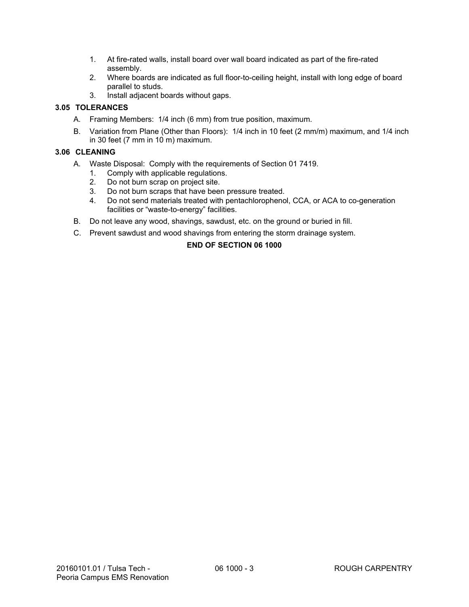- 1. At fire-rated walls, install board over wall board indicated as part of the fire-rated assembly.
- 2. Where boards are indicated as full floor-to-ceiling height, install with long edge of board parallel to studs.
- 3. Install adjacent boards without gaps.

## **3.05 TOLERANCES**

- A. Framing Members: 1/4 inch (6 mm) from true position, maximum.
- B. Variation from Plane (Other than Floors): 1/4 inch in 10 feet (2 mm/m) maximum, and 1/4 inch in 30 feet  $(7 \text{ mm in } 10 \text{ m})$  maximum.

## **3.06 CLEANING**

- A. Waste Disposal: Comply with the requirements of Section 01 7419.
	- 1. Comply with applicable regulations.
	- 2. Do not burn scrap on project site.
	- 3. Do not burn scraps that have been pressure treated.
	- 4. Do not send materials treated with pentachlorophenol, CCA, or ACA to co-generation facilities or "waste-to-energy" facilities.
- B. Do not leave any wood, shavings, sawdust, etc. on the ground or buried in fill.
- C. Prevent sawdust and wood shavings from entering the storm drainage system.

## **END OF SECTION 06 1000**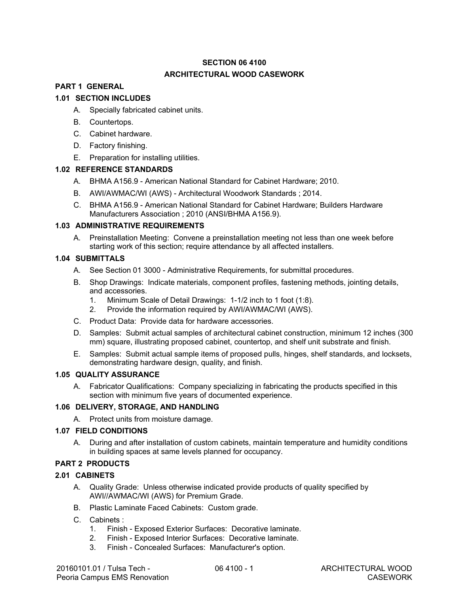# **SECTION 06 4100 ARCHITECTURAL WOOD CASEWORK**

# **PART 1 GENERAL**

## **1.01 SECTION INCLUDES**

- A. Specially fabricated cabinet units.
- B. Countertops.
- C. Cabinet hardware.
- D. Factory finishing.
- E. Preparation for installing utilities.

#### **1.02 REFERENCE STANDARDS**

- A. BHMA A156.9 American National Standard for Cabinet Hardware; 2010.
- B. AWI/AWMAC/WI (AWS) Architectural Woodwork Standards ; 2014.
- C. BHMA A156.9 American National Standard for Cabinet Hardware; Builders Hardware Manufacturers Association ; 2010 (ANSI/BHMA A156.9).

#### **1.03 ADMINISTRATIVE REQUIREMENTS**

A. Preinstallation Meeting: Convene a preinstallation meeting not less than one week before starting work of this section; require attendance by all affected installers.

## **1.04 SUBMITTALS**

- A. See Section 01 3000 Administrative Requirements, for submittal procedures.
- B. Shop Drawings: Indicate materials, component profiles, fastening methods, jointing details, and accessories.
	- 1. Minimum Scale of Detail Drawings: 1-1/2 inch to 1 foot (1:8).
	- 2. Provide the information required by AWI/AWMAC/WI (AWS).
- C. Product Data: Provide data for hardware accessories.
- D. Samples: Submit actual samples of architectural cabinet construction, minimum 12 inches (300 mm) square, illustrating proposed cabinet, countertop, and shelf unit substrate and finish.
- E. Samples: Submit actual sample items of proposed pulls, hinges, shelf standards, and locksets, demonstrating hardware design, quality, and finish.

#### **1.05 QUALITY ASSURANCE**

A. Fabricator Qualifications: Company specializing in fabricating the products specified in this section with minimum five years of documented experience.

#### **1.06 DELIVERY, STORAGE, AND HANDLING**

A. Protect units from moisture damage.

#### **1.07 FIELD CONDITIONS**

A. During and after installation of custom cabinets, maintain temperature and humidity conditions in building spaces at same levels planned for occupancy.

## **PART 2 PRODUCTS**

#### **2.01 CABINETS**

- A. Quality Grade: Unless otherwise indicated provide products of quality specified by AWI//AWMAC/WI (AWS) for Premium Grade.
- B. Plastic Laminate Faced Cabinets: Custom grade.
- C. Cabinets :
	- 1. Finish Exposed Exterior Surfaces: Decorative laminate.
	- 2. Finish Exposed Interior Surfaces: Decorative laminate.
	- 3. Finish Concealed Surfaces: Manufacturer's option.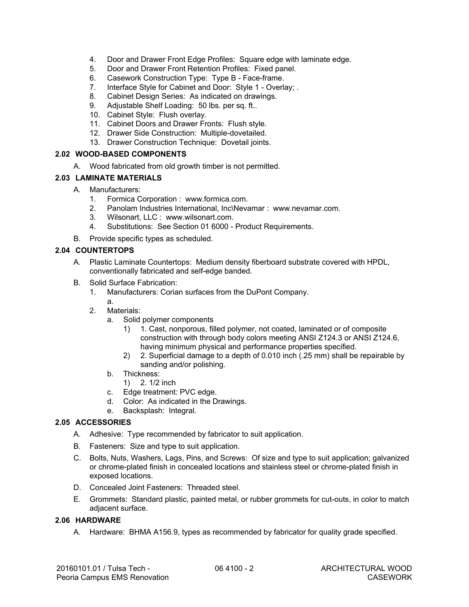- 4. Door and Drawer Front Edge Profiles: Square edge with laminate edge.
- 5. Door and Drawer Front Retention Profiles: Fixed panel.
- 6. Casework Construction Type: Type B Face-frame.
- 7. Interface Style for Cabinet and Door: Style 1 Overlay; .
- 8. Cabinet Design Series: As indicated on drawings.
- 9. Adjustable Shelf Loading: 50 lbs. per sq. ft..
- 10. Cabinet Style: Flush overlay.
- 11. Cabinet Doors and Drawer Fronts: Flush style.
- 12. Drawer Side Construction: Multiple-dovetailed.
- 13. Drawer Construction Technique: Dovetail joints.

## **2.02 WOOD-BASED COMPONENTS**

A. Wood fabricated from old growth timber is not permitted.

## **2.03 LAMINATE MATERIALS**

- A. Manufacturers:
	- 1. Formica Corporation : www.formica.com.
	- 2. Panolam Industries International, Inc\Nevamar : www.nevamar.com.
	- 3. Wilsonart, LLC : www.wilsonart.com.
	- 4. Substitutions: See Section 01 6000 Product Requirements.
- B. Provide specific types as scheduled.

## **2.04 COUNTERTOPS**

- A. Plastic Laminate Countertops: Medium density fiberboard substrate covered with HPDL, conventionally fabricated and self-edge banded.
- B. Solid Surface Fabrication:
	- 1. Manufacturers: Corian surfaces from the DuPont Company.
	- a. 2. Materials:
		- a. Solid polymer components
			- 1) 1. Cast, nonporous, filled polymer, not coated, laminated or of composite construction with through body colors meeting ANSI Z124.3 or ANSI Z124.6, having minimum physical and performance properties specified.
			- 2) 2. Superficial damage to a depth of 0.010 inch (.25 mm) shall be repairable by sanding and/or polishing.
		- b. Thickness:
			- 1) 2. 1/2 inch
		- c. Edge treatment: PVC edge.
		- d. Color: As indicated in the Drawings.
		- e. Backsplash: Integral.

## **2.05 ACCESSORIES**

- A. Adhesive: Type recommended by fabricator to suit application.
- B. Fasteners: Size and type to suit application.
- C. Bolts, Nuts, Washers, Lags, Pins, and Screws: Of size and type to suit application; galvanized or chrome-plated finish in concealed locations and stainless steel or chrome-plated finish in exposed locations.
- D. Concealed Joint Fasteners: Threaded steel.
- E. Grommets: Standard plastic, painted metal, or rubber grommets for cut-outs, in color to match adjacent surface.

#### **2.06 HARDWARE**

A. Hardware: BHMA A156.9, types as recommended by fabricator for quality grade specified.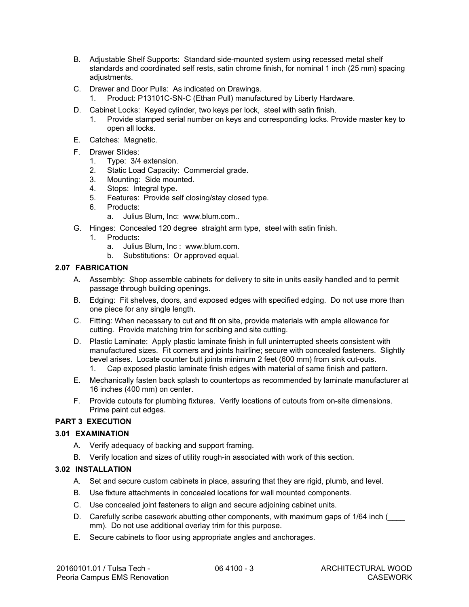- B. Adjustable Shelf Supports: Standard side-mounted system using recessed metal shelf standards and coordinated self rests, satin chrome finish, for nominal 1 inch (25 mm) spacing adiustments.
- C. Drawer and Door Pulls: As indicated on Drawings.
	- 1. Product: P13101C-SN-C (Ethan Pull) manufactured by Liberty Hardware.
- D. Cabinet Locks: Keyed cylinder, two keys per lock, steel with satin finish.
	- 1. Provide stamped serial number on keys and corresponding locks. Provide master key to open all locks.
- E. Catches: Magnetic.
- F. Drawer Slides:
	- 1. Type: 3/4 extension.
	- 2. Static Load Capacity: Commercial grade.
	- 3. Mounting: Side mounted.
	- 4. Stops: Integral type.
	- 5. Features: Provide self closing/stay closed type.
	- 6. Products:
		- a. Julius Blum, Inc: www.blum.com..
- G. Hinges: Concealed 120 degree straight arm type, steel with satin finish.
	- 1. Products:
		- a. Julius Blum, Inc : www.blum.com.
		- b. Substitutions: Or approved equal.

## **2.07 FABRICATION 2.07 FABRICATION**

- A. Assembly: Shop assemble cabinets for delivery to site in units easily handled and to permit A. Assembly: Shop assemble cabinets for delivery to site in units easily handled and to permit passage through building openings. passage through building openings.
- B. Edging: Fit shelves, doors, and exposed edges with specified edging. Do not use more than B. Edging: Fit shelves, doors, and exposed edges with specified edging. Do not use more than one piece for any single length. one piece for any single length.
- C. Fitting: When necessary to cut and fit on site, provide materials with ample allowance for cutting. Provide matching trim for scribing and site cutting. cutting. Provide matching trim for scribing and site cutting.
- D. Plastic Laminate: Apply plastic laminate finish in full uninterrupted sheets consistent with manufactured sizes. Fit corners and joints hairline; secure with concealed fasteners. Slightly bevel arises. Locate counter butt joints minimum 2 feet (600 mm) from sink cut-outs. 1. Cap exposed plastic laminate finish edges with material of same finish and pattern. D. Plastic Laminate: Apply plastic laminate finish in full uninterrupted sheets consistent with<br>manufactured sizes. Fit corners and joints hairline; secure with concealed fasteners. Slightly<br>bevel arises. Locate counter bu
- 1. Cap exposed plastic laminate finish edges with material of same finish and pattern.<br>E. Mechanically fasten back splash to countertops as recommended by laminate manufacturer at
- 16 inches (400 mm) on center. 16 inches (400 mm) on center.
- F. Provide cutouts for plumbing fixtures. Verify locations of cutouts from on-site dimensions. F. Provide cutouts for plumbing fixtures. Verify locations of cutouts from on-site dimensions. Prime paint cut edges. Prime paint cut edges.

## **PART 3 EXECUTION PART 3 EXECUTION**

#### **3.01 EXAMINATION 3.01 EXAMINATION**

- A. Verify adequacy of backing and support framing. A. Verify adequacy of backing and support framing.
- B. Verify location and sizes of utility rough-in associated with work of this section.

## **3.02 INSTALLATION 3.02 INSTALLATION**

- A. Set and secure custom cabinets in place, assuring that they are rigid, plumb, and level. A. Set and secure custom cabinets in place, assuring that they are rigid, plumb, and level.
- B. Use fixture attachments in concealed locations for wall mounted components. B. Use fixture attachments in concealed locations for wall mounted components.
- C. Use concealed joint fasteners to align and secure adjoining cabinet units. C. Use concealed joint fasteners to align and secure adjoining cabinet units.
- D. Carefully scribe casework abutting other components, with maximum gaps of 1/64 inch ( mm). Do not use additional overlay trim for this purpose.
- E. Secure cabinets to floor using appropriate angles and anchorages. mm). Do not use additional overlay trim for this purpose. E. Secure cabinets to floor using appropriate angles and anchorages.